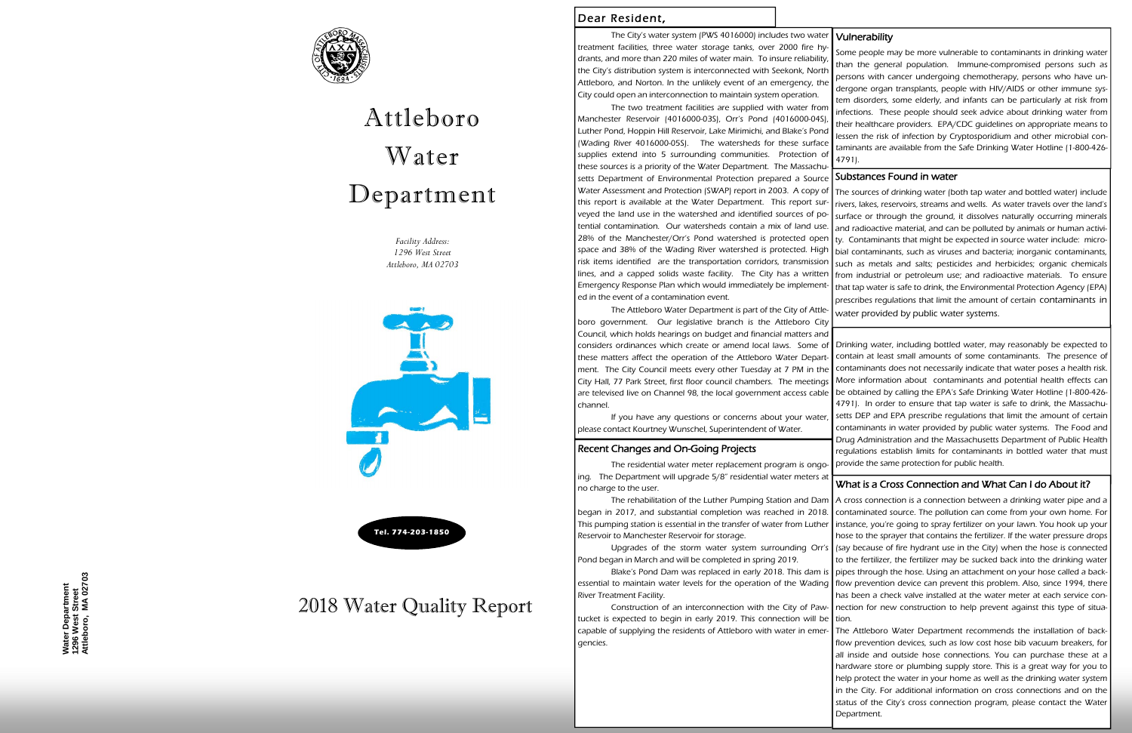*Facility Address: 1296 West Street Attleboro, MA 02703* 





# Attleboro Water Department

Water Department<br>1296 West Street<br>Attleboro, MA 02703 **Attleboro, MA 02703 Water Department 1296 West Street** 

## Dear Resident,



## 2018 Water Quality Report

Drinking water, including bottled water, may reasonably be expected to contain at least small amounts of some contaminants. The presence of contaminants does not necessarily indicate that water poses a health risk. More information about contaminants and potential health effects can be obtained by calling the EPA's Safe Drinking Water Hotline (1-800-426- 4791). In order to ensure that tap water is safe to drink, the Massachusetts DEP and EPA prescribe regulations that limit the amount of certain contaminants in water provided by public water systems. The Food and Drug Administration and the Massachusetts Department of Public Health regulations establish limits for contaminants in bottled water that must provide the same protection for public health. boro government. Our legislative branch is the Attleboro City Council, which holds hearings on budget and financial matters and considers ordinances which create or amend local laws. Some of these matters affect the operation of the Attleboro Water Department. The City Council meets every other Tuesday at 7 PM in the City Hall, 77 Park Street, first floor council chambers. The meetings are televised live on Channel 98, the local government access cable channel. If you have any questions or concerns about your water, please contact Kourtney Wunschel, Superintendent of Water. Recent Changes and On-Going Projects The residential water meter replacement program is ongo-

The rehabilitation of the Luther Pumping Station and Dam | A cross connection is a connection between a drinking water pipe and a began in 2017, and substantial completion was reached in 2018. This pumping station is essential in the transfer of water from Luther Reservoir to Manchester Reservoir for storage. Upgrades of the storm water system surrounding Orr's Pond began in March and will be completed in spring 2019. Blake's Pond Dam was replaced in early 2018. This dam is essential to maintain water levels for the operation of the Wading | flow prevention device can prevent this problem. Also, since 1994, there River Treatment Facility. Construction of an interconnection with the City of Pawtucket is expected to begin in early 2019. This connection will be contaminated source. The pollution can come from your own home. For instance, you're going to spray fertilizer on your lawn. You hook up your hose to the sprayer that contains the fertilizer. If the water pressure drops (say because of fire hydrant use in the City) when the hose is connected to the fertilizer, the fertilizer may be sucked back into the drinking water pipes through the hose. Using an attachment on your hose called a backhas been a check valve installed at the water meter at each service connection for new construction to help prevent against this type of situation.

The City's water system (PWS 4016000) includes two water treatment facilities, three water storage tanks, over 2000 fire hydrants, and more than 220 miles of water main. To insure reliability, the City's distribution system is interconnected with Seekonk, North Attleboro, and Norton. In the unlikely event of an emergency, the City could open an interconnection to maintain system operation. The two treatment facilities are supplied with water from Manchester Reservoir (4016000-03S), Orr's Pond (4016000-04S), Luther Pond, Hoppin Hill Reservoir, Lake Mirimichi, and Blake's Pond (Wading River 4016000-05S). The watersheds for these surface supplies extend into 5 surrounding communities. Protection of **Vulnerability** Some people may be more vulnerable to contaminants in drinking water than the general population. Immune-compromised persons such as persons with cancer undergoing chemotherapy, persons who have undergone organ transplants, people with HIV/AIDS or other immune system disorders, some elderly, and infants can be particularly at risk from infections. These people should seek advice about drinking water from their healthcare providers. EPA/CDC guidelines on appropriate means to lessen the risk of infection by Cryptosporidium and other microbial contaminants are available from the Safe Drinking Water Hotline (1-800-426- 4791).

ing. The Department will upgrade 5/8" residential water meters at no charge to the user.

these sources is a priority of the Water Department. The Massachusetts Department of Environmental Protection prepared a Source Water Assessment and Protection (SWAP) report in 2003. A copy of this report is available at the Water Department. This report surveyed the land use in the watershed and identified sources of potential contamination. Our watersheds contain a mix of land use. 28% of the Manchester/Orr's Pond watershed is protected open space and 38% of the Wading River watershed is protected. High risk items identified are the transportation corridors, transmission lines, and a capped solids waste facility. The City has a written Emergency Response Plan which would immediately be implemented in the event of a contamination event. The Attleboro Water Department is part of the City of Attle-Substances Found in water The sources of drinking water (both tap water and bottled water) include rivers, lakes, reservoirs, streams and wells. As water travels over the land's surface or through the ground, it dissolves naturally occurring minerals and radioactive material, and can be polluted by animals or human activi ty. Contaminants that might be expected in source water include: microbial contaminants, such as viruses and bacteria; inorganic contaminants, such as metals and salts; pesticides and herbicides; organic chemicals from industrial or petroleum use; and radioactive materials. To ensure that tap water is safe to drink, the Environmental Protection Agency (EPA) prescribes regulations that limit the amount of certain contaminants in water provided by public water systems.

capable of supplying the residents of Attleboro with water in emergencies.

### What is a Cross Connection and What Can I do About it?

The Attleboro Water Department recommends the installation of backflow prevention devices, such as low cost hose bib vacuum breakers, for all inside and outside hose connections. You can purchase these at a hardware store or plumbing supply store. This is a great way for you to help protect the water in your home as well as the drinking water system in the City. For additional information on cross connections and on the status of the City's cross connection program, please contact the Water Department.